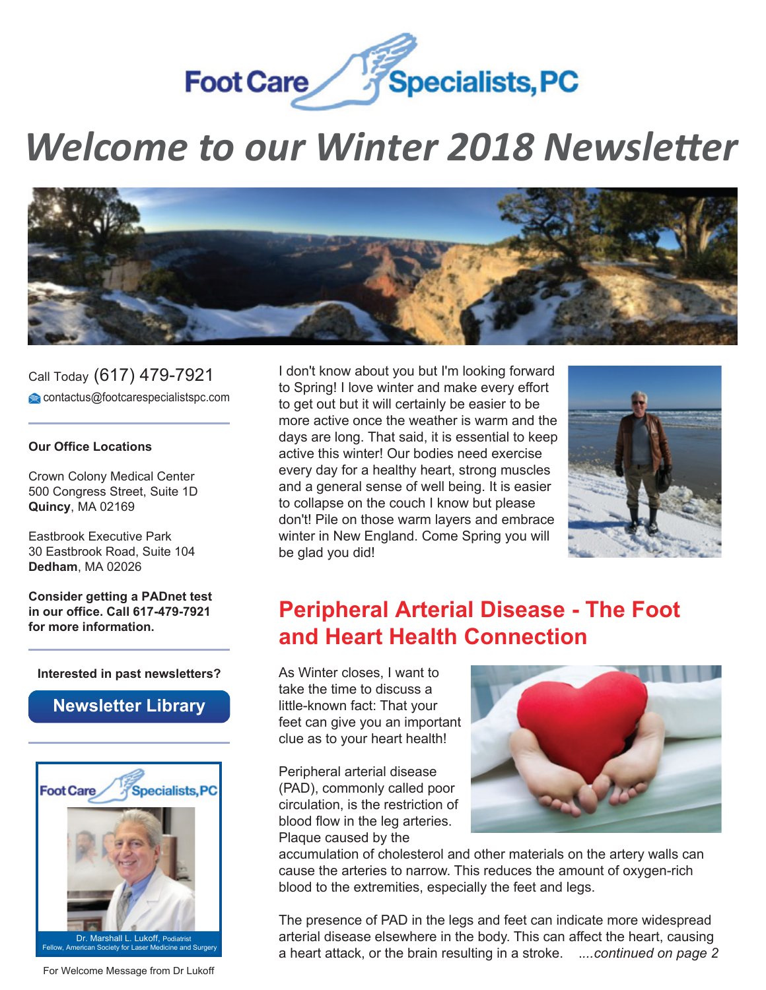

# *Welcome to our [Winter 2018 Newsletter](http://www.footcarespecialistspc.com/)*



Call Today (617) 479-7921 contactus@footcarespecialistspc.com

#### **Our Office Locations**

Crown Colony Medical Center 500 Congress Street, Suite 1D **Quincy**, MA 02169

Eastbrook Executive Park 30 Eastbrook Road, Suite 104 **Dedham**, MA 02026

**Consider getting a PADnet test in our office. Call 617-479-7921 for more information.**

#### **Interested in past newsletters?**

### **[Newsletter Library](http://www.ami-solutions.net/lasern)**



[For Welcome Message from Dr Lukoff](https://videop.wistia.com/medias/3pjt6kxwzb)

I don't know about you but I'm looking forward to Spring! I love winter and make every effort to get out but it will certainly be easier to be more active once the weather is warm and the days are long. That said, it is essential to keep active this winter! Our bodies need exercise every day for a healthy heart, strong muscles and a general sense of well being. It is easier to collapse on the couch I know but please don't! Pile on those warm layers and embrace winter in New England. Come Spring you will be glad you did!



# **Peripheral Arterial Disease - The Foot and Heart Health Connection**

As Winter closes, I want to take the time to discuss a little-known fact: That your feet can give you an important clue as to your heart health!

Peripheral arterial disease (PAD), commonly called poor circulation, is the restriction of blood flow in the leg arteries. Plaque caused by the



accumulation of cholesterol and other materials on the artery walls can cause the arteries to narrow. This reduces the amount of oxygen-rich blood to the extremities, especially the feet and legs.

The presence of PAD in the legs and feet can indicate more widespread arterial disease elsewhere in the body. This can affect the heart, causing a heart attack, or the brain resulting in a stroke. .*...continued on page 2*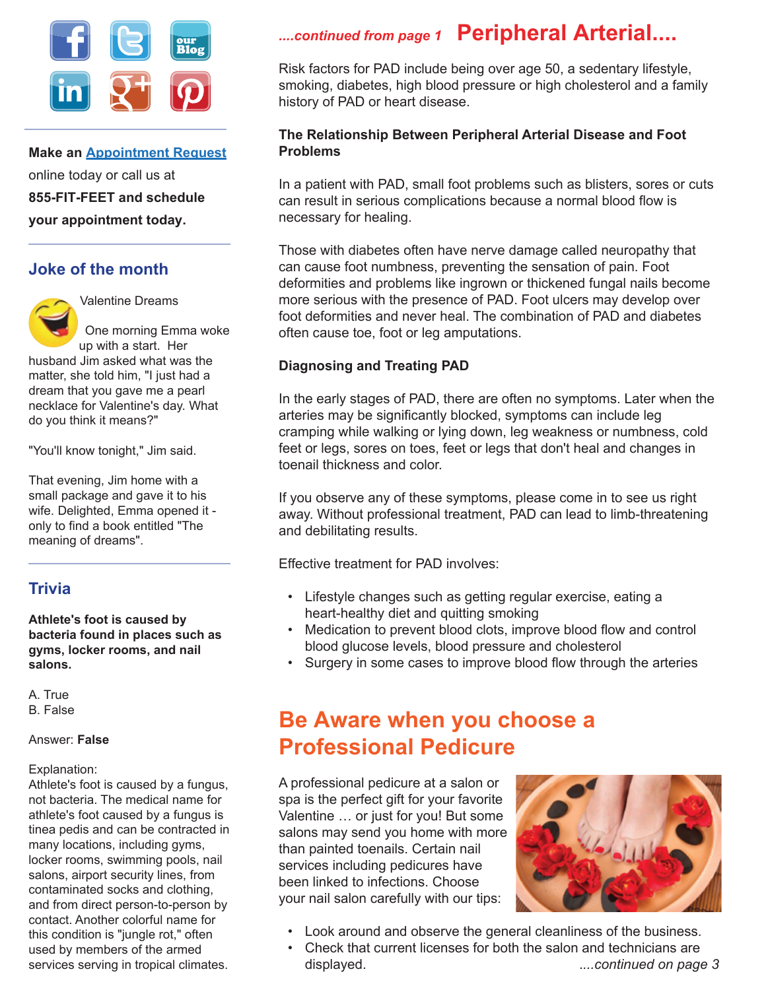

**Make an [Appointment Request](http://www.footcarespecialistspc.com/appointment.html)** online today or call us at **855-FIT-FEET and schedule your appointment today.**

### **Joke of the month**



Valentine Dreams

One morning Emma woke up with a start. Her

husband Jim asked what was the matter, she told him, "I just had a dream that you gave me a pearl necklace for Valentine's day. What do you think it means?"

"You'll know tonight," Jim said.

That evening, Jim home with a small package and gave it to his wife. Delighted, Emma opened it only to find a book entitled "The meaning of dreams".

### **Trivia**

**Athlete's foot is caused by bacteria found in places such as gyms, locker rooms, and nail salons.**

A. True B. False

#### Answer: **False**

#### Explanation:

Athlete's foot is caused by a fungus, not bacteria. The medical name for athlete's foot caused by a fungus is tinea pedis and can be contracted in many locations, including gyms, locker rooms, swimming pools, nail salons, airport security lines, from contaminated socks and clothing, and from direct person-to-person by contact. Another colorful name for this condition is "jungle rot," often used by members of the armed services serving in tropical climates.

# *....continued from page 1* **Peripheral Arterial....**

Risk factors for PAD include being over age 50, a sedentary lifestyle, smoking, diabetes, high blood pressure or high cholesterol and a family history of PAD or heart disease.

#### **The Relationship Between Peripheral Arterial Disease and Foot Problems**

In a patient with PAD, small foot problems such as blisters, sores or cuts can result in serious complications because a normal blood flow is necessary for healing.

Those with diabetes often have nerve damage called neuropathy that can cause foot numbness, preventing the sensation of pain. Foot deformities and problems like ingrown or thickened fungal nails become more serious with the presence of PAD. Foot ulcers may develop over foot deformities and never heal. The combination of PAD and diabetes often cause toe, foot or leg amputations.

#### **Diagnosing and Treating PAD**

In the early stages of PAD, there are often no symptoms. Later when the arteries may be significantly blocked, symptoms can include leg cramping while walking or lying down, leg weakness or numbness, cold feet or legs, sores on toes, feet or legs that don't heal and changes in toenail thickness and color.

If you observe any of these symptoms, please come in to see us right away. Without professional treatment, PAD can lead to limb-threatening and debilitating results.

Effective treatment for PAD involves:

- Lifestyle changes such as getting regular exercise, eating a heart-healthy diet and quitting smoking
- Medication to prevent blood clots, improve blood flow and control blood glucose levels, blood pressure and cholesterol
- Surgery in some cases to improve blood flow through the arteries

# **Be Aware when you choose a Professional Pedicure**

A professional pedicure at a salon or spa is the perfect gift for your favorite Valentine … or just for you! But some salons may send you home with more than painted toenails. Certain nail services including pedicures have been linked to infections. Choose your nail salon carefully with our tips:



- Look around and observe the general cleanliness of the business.
- Check that current licenses for both the salon and technicians are displayed. .*...continued on page 3*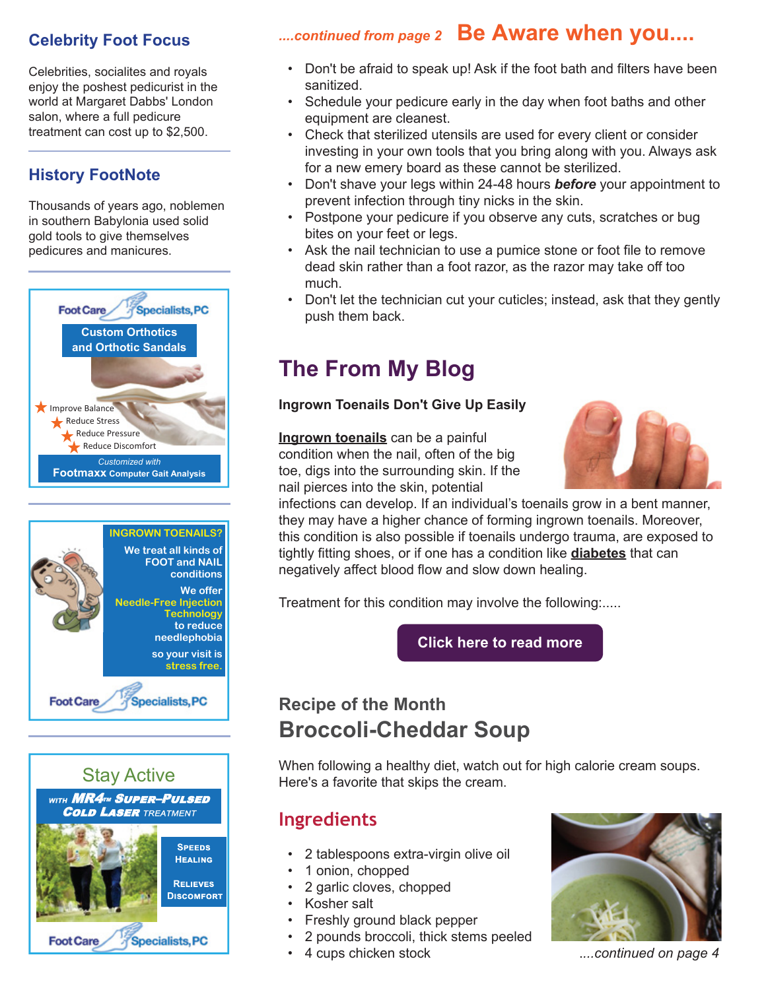### **Celebrity Foot Focus**

Celebrities, socialites and royals enjoy the poshest pedicurist in the world at Margaret Dabbs' London salon, where a full pedicure treatment can cost up to \$2,500.

### **History FootNote**

Thousands of years ago, noblemen in southern Babylonia used solid gold tools to give themselves pedicures and manicures.







### *....continued from page 2* **Be Aware when you....**

- Don't be afraid to speak up! Ask if the foot bath and filters have been sanitized.
- Schedule your pedicure early in the day when foot baths and other equipment are cleanest.
- Check that sterilized utensils are used for every client or consider investing in your own tools that you bring along with you. Always ask for a new emery board as these cannot be sterilized.
- Don't shave your legs within 24-48 hours *before* your appointment to prevent infection through tiny nicks in the skin.
- Postpone your pedicure if you observe any cuts, scratches or bug bites on your feet or legs.
- Ask the nail technician to use a pumice stone or foot file to remove dead skin rather than a foot razor, as the razor may take off too much.
- Don't let the technician cut your cuticles; instead, ask that they gently push them back.

# **The From My Blog**

### **Ingrown Toenails Don't Give Up Easily**

**[Ingrown toenails](http://www.footcarespecialistspc.com/ingrown-toenails.html)** can be a painful condition when the nail, often of the big toe, digs into the surrounding skin. If the nail pierces into the skin, potential



infections can develop. If an individual's toenails grow in a bent manner, they may have a higher chance of forming ingrown toenails. Moreover, this condition is also possible if toenails undergo trauma, are exposed to tightly fitting shoes, or if one has a condition like **[diabetes](http://www.footcarespecialistspc.com/diabetic-shoes.html)** that can negatively affect blood flow and slow down healing.

Treatment for this condition may involve the following:.....

**[Click here to read more](http://www.footcarespecialistspc.com/blog/post/ingrown-toenails-dont-give-up-easily.html)**

# **Recipe of the Month Broccoli-Cheddar Soup**

When following a healthy diet, watch out for high calorie cream soups. Here's a favorite that skips the cream.

## **Ingredients**

- 2 tablespoons extra-virgin olive oil
- 1 onion, chopped
- 2 garlic cloves, chopped
- Kosher salt
- Freshly ground black pepper
- 2 pounds broccoli, thick stems peeled
- 4 cups chicken stock .*...continued on page 4*